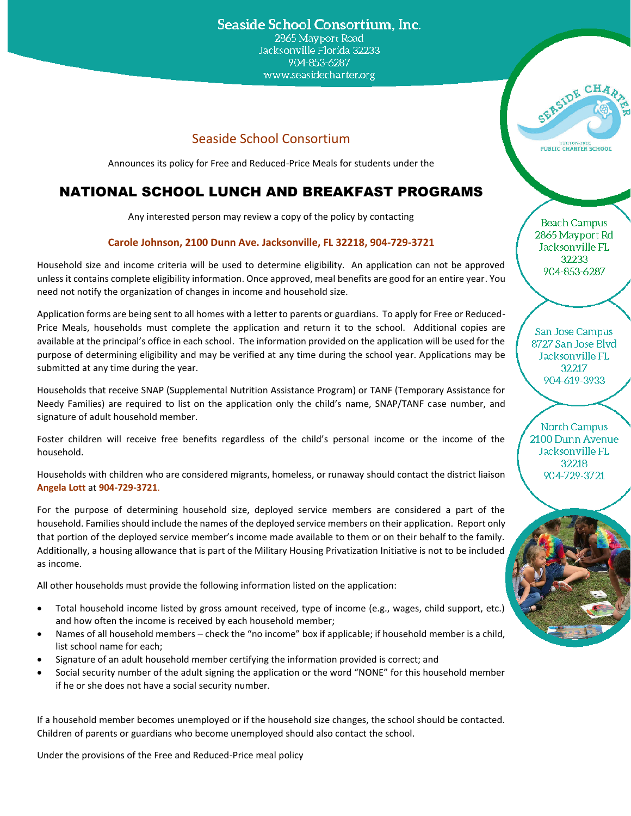### Seaside School Consortium, Inc.

2865 Mayport Road Jacksonville Florida 32233 904-853-6287 www.seasidecharter.org

### Seaside School Consortium

Announces its policy for Free and Reduced-Price Meals for students under the

# NATIONAL SCHOOL LUNCH AND BREAKFAST PROGRAMS

Any interested person may review a copy of the policy by contacting

#### **Carole Johnson, 2100 Dunn Ave. Jacksonville, FL 32218, 904-729-3721**

Household size and income criteria will be used to determine eligibility. An application can not be approved unless it contains complete eligibility information. Once approved, meal benefits are good for an entire year. You need not notify the organization of changes in income and household size.

Application forms are being sent to all homes with a letter to parents or guardians. To apply for Free or Reduced-Price Meals, households must complete the application and return it to the school. Additional copies are available at the principal's office in each school. The information provided on the application will be used for the purpose of determining eligibility and may be verified at any time during the school year. Applications may be submitted at any time during the year.

Households that receive SNAP (Supplemental Nutrition Assistance Program) or TANF (Temporary Assistance for Needy Families) are required to list on the application only the child's name, SNAP/TANF case number, and signature of adult household member.

Foster children will receive free benefits regardless of the child's personal income or the income of the household.

Households with children who are considered migrants, homeless, or runaway should contact the district liaison **Angela Lott** at **904-729-3721**.

For the purpose of determining household size, deployed service members are considered a part of the household. Families should include the names of the deployed service members on their application. Report only that portion of the deployed service member's income made available to them or on their behalf to the family. Additionally, a housing allowance that is part of the Military Housing Privatization Initiative is not to be included as income.

All other households must provide the following information listed on the application:

- Total household income listed by gross amount received, type of income (e.g., wages, child support, etc.) and how often the income is received by each household member;
- Names of all household members check the "no income" box if applicable; if household member is a child, list school name for each;
- Signature of an adult household member certifying the information provided is correct; and
- Social security number of the adult signing the application or the word "NONE" for this household member if he or she does not have a social security number.

If a household member becomes unemployed or if the household size changes, the school should be contacted. Children of parents or guardians who become unemployed should also contact the school.

Under the provisions of the Free and Reduced-Price meal policy

TUITION-FREE<br>PUBLIC CHARTER SCHOOL

SERSIDE CHA

Beach Campus 2865 Mayport Rd Jacksonville FL 32233 904-853-6287

San Jose Campus 8727 San Jose Blvd Jacksonville FL 32217 904-619-3933

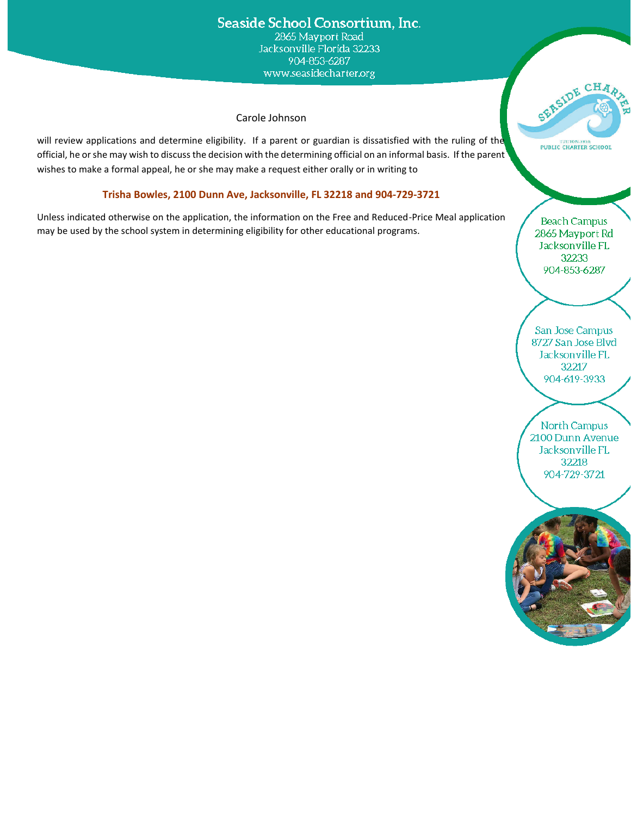### Seaside School Consortium, Inc. 2865 Mayport Road Jacksonville Florida 32233 904-853-6287 www.seasidecharter.org

#### Carole Johnson

will review applications and determine eligibility. If a parent or guardian is dissatisfied with the ruling of the official, he or she may wish to discuss the decision with the determining official on an informal basis. If the parent wishes to make a formal appeal, he or she may make a request either orally or in writing to

### **Trisha Bowles, 2100 Dunn Ave, Jacksonville, FL 32218 and 904-729-3721**

Unless indicated otherwise on the application, the information on the Free and Reduced-Price Meal application may be used by the school system in determining eligibility for other educational programs.

**Beach Campus** 2865 Mayport Rd Jacksonville FL 32233 904-853-6287

SERSIDE CHA

PUBLIC CHARTER SCHOOL

San Jose Campus 8727 San Jose Blvd Jacksonville FL 32217 904-619-3933

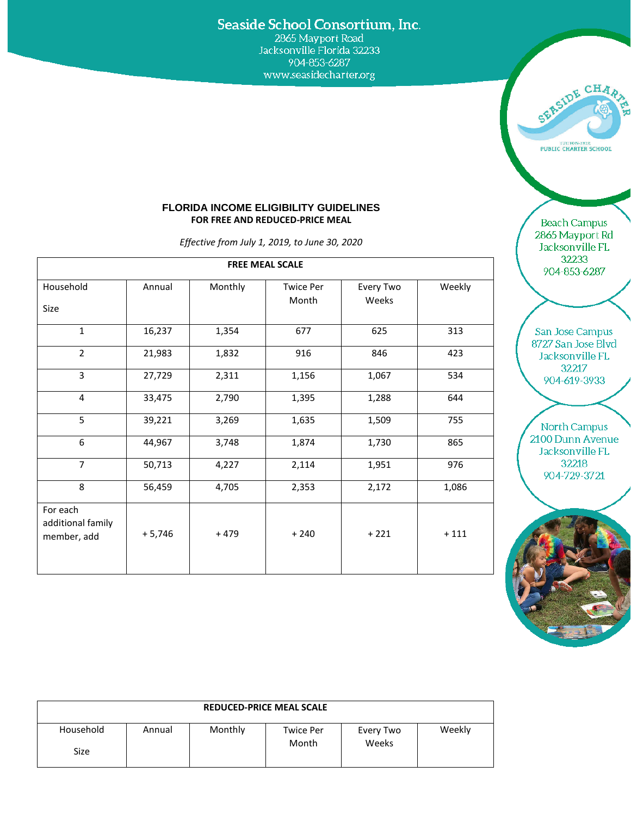## Seaside School Consortium, Inc.

904-853-6287 www.seasidecharter.org



#### **FLORIDA INCOME ELIGIBILITY GUIDELINES FOR FREE AND REDUCED-PRICE MEAL**

*Effective from July 1, 2019, to June 30, 2020*

| Household                                    | Annual    | Monthly | <b>Twice Per</b> | Every Two | Weekly |
|----------------------------------------------|-----------|---------|------------------|-----------|--------|
| Size                                         |           |         | Month            | Weeks     |        |
| $\mathbf{1}$                                 | 16,237    | 1,354   | 677              | 625       | 313    |
| $\overline{2}$                               | 21,983    | 1,832   | 916              | 846       | 423    |
| 3                                            | 27,729    | 2,311   | 1,156            | 1,067     | 534    |
| 4                                            | 33,475    | 2,790   | 1,395            | 1,288     | 644    |
| 5                                            | 39,221    | 3,269   | 1,635            | 1,509     | 755    |
| 6                                            | 44,967    | 3,748   | 1,874            | 1,730     | 865    |
| $\overline{7}$                               | 50,713    | 4,227   | 2,114            | 1,951     | 976    |
| 8                                            | 56,459    | 4,705   | 2,353            | 2,172     | 1,086  |
| For each<br>additional family<br>member, add | $+ 5,746$ | $+479$  | $+240$           | $+221$    | $+111$ |

Beach Campus 2865 Mayport Rd Jacksonville FL 32233 904-853-6287

San Jose Campus 8727 San Jose Blvd Jacksonville FL 32217 904-619-3933



| <b>REDUCED-PRICE MEAL SCALE</b> |        |         |                           |                    |        |  |
|---------------------------------|--------|---------|---------------------------|--------------------|--------|--|
| Household<br>Size               | Annual | Monthly | <b>Twice Per</b><br>Month | Every Two<br>Weeks | Weekly |  |